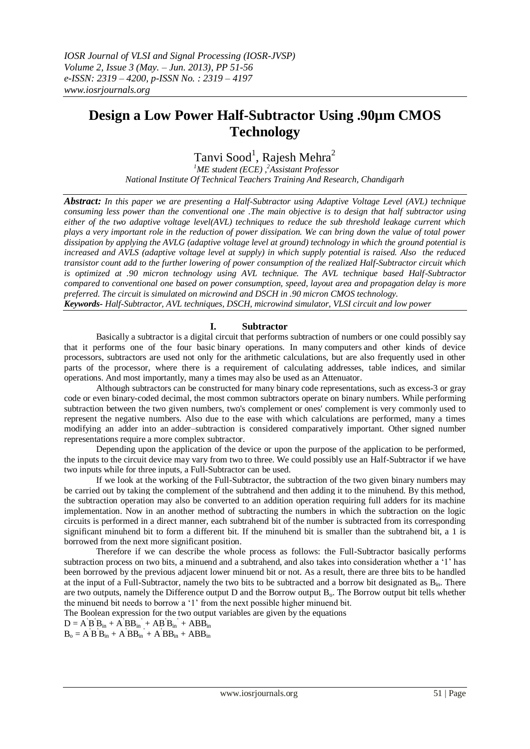# **Design a Low Power Half-Subtractor Using .90µm CMOS Technology**

Tanvi Sood<sup>1</sup>, Rajesh Mehra<sup>2</sup>

*<sup>1</sup>ME student (ECE) , <sup>2</sup>Assistant Professor National Institute Of Technical Teachers Training And Research, Chandigarh*

*Abstract: In this paper we are presenting a Half-Subtractor using Adaptive Voltage Level (AVL) technique consuming less power than the conventional one .The main objective is to design that half subtractor using either of the two adaptive voltage level(AVL) techniques to reduce the sub threshold leakage current which plays a very important role in the reduction of power dissipation. We can bring down the value of total power dissipation by applying the AVLG (adaptive voltage level at ground) technology in which the ground potential is increased and AVLS (adaptive voltage level at supply) in which supply potential is raised. Also the reduced transistor count add to the further lowering of power consumption of the realized Half-Subtractor circuit which is optimized at .90 micron technology using AVL technique. The AVL technique based Half-Subtractor compared to conventional one based on power consumption, speed, layout area and propagation delay is more preferred. The circuit is simulated on microwind and DSCH in .90 micron CMOS technology. Keywords- Half-Subtractor, AVL techniques, DSCH, microwind simulator, VLSI circuit and low power*

## **I. Subtractor**

Basically a subtractor is a digital circuit that performs subtraction of numbers or one could possibly say that it performs one of the four basic binary operations. In many computers and other kinds of device processors, subtractors are used not only for the arithmetic calculations, but are also frequently used in other parts of the processor, where there is a requirement of calculating addresses, table indices, and similar operations. And most importantly, many a times may also be used as an Attenuator.

Although subtractors can be constructed for many binary code representations, such as excess-3 or gray code or even binary-coded decimal, the most common subtractors operate on binary numbers. While performing subtraction between the two given numbers, two's complement or ones' complement is very commonly used to represent the negative numbers. Also due to the ease with which calculations are performed, many a times modifying an adder into an adder–subtraction is considered comparatively important. Other signed number representations require a more complex subtractor.

Depending upon the application of the device or upon the purpose of the application to be performed, the inputs to the circuit device may vary from two to three. We could possibly use an Half-Subtractor if we have two inputs while for three inputs, a Full-Subtractor can be used.

If we look at the working of the Full-Subtractor, the subtraction of the two given binary numbers may be carried out by taking the complement of the subtrahend and then adding it to the minuhend. By this method, the subtraction operation may also be converted to an addition operation requiring full adders for its machine implementation. Now in an another method of subtracting the numbers in which the subtraction on the logic circuits is performed in a direct manner, each subtrahend bit of the number is subtracted from its corresponding significant minuhend bit to form a different bit. If the minuhend bit is smaller than the subtrahend bit, a 1 is borrowed from the next more significant position.

Therefore if we can describe the whole process as follows: the Full-Subtractor basically performs subtraction process on two bits, a minuend and a subtrahend, and also takes into consideration whether a '1' has been borrowed by the previous adjacent lower minuend bit or not. As a result, there are three bits to be handled at the input of a Full-Subtractor, namely the two bits to be subtracted and a borrow bit designated as  $B_{in}$ . There are two outputs, namely the Difference output D and the Borrow output B<sub>0</sub>. The Borrow output bit tells whether the minuend bit needs to borrow a '1' from the next possible higher minuend bit.

The Boolean expression for the two output variables are given by the equations

 $D = A'B'B<sub>in</sub> + A'BB<sub>in</sub> + AB'B<sub>in</sub> + ABB<sub>in</sub>$ 

 $B_o = A'B'B<sub>in</sub> + A'BB<sub>in</sub> + A'BB<sub>in</sub> + ABB<sub>in</sub>$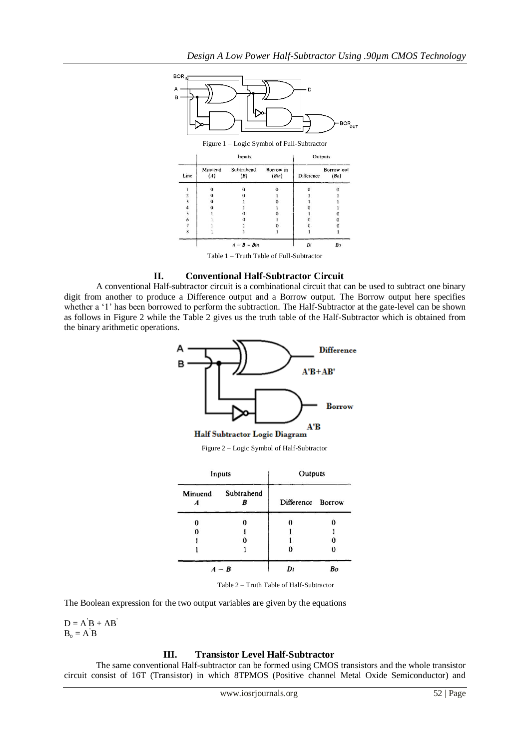

Table 1 – Truth Table of Full-Subtractor

## **II. Conventional Half-Subtractor Circuit**

A conventional Half-subtractor circuit is a combinational circuit that can be used to subtract one binary digit from another to produce a Difference output and a Borrow output. The Borrow output here specifies whether a '1' has been borrowed to perform the subtraction. The Half-Subtractor at the gate-level can be shown as follows in Figure 2 while the Table 2 gives us the truth table of the Half-Subtractor which is obtained from the binary arithmetic operations.



Figure 2 – Logic Symbol of Half-Subtractor

| Inputs  |                 | Outputs           |    |
|---------|-----------------|-------------------|----|
| Minuend | Subtrahend<br>R | Difference Borrow |    |
| 0       |                 | 0                 |    |
| 0       |                 |                   |    |
|         |                 |                   | o  |
|         |                 | 0                 |    |
| $A - B$ |                 | Di                | Bo |

Table 2 – Truth Table of Half-Subtractor

The Boolean expression for the two output variables are given by the equations

 $D = A'B + AB'$  $B_0 = A'B$ 

## **III. Transistor Level Half-Subtractor**

The same conventional Half-subtractor can be formed using CMOS transistors and the whole transistor circuit consist of 16T (Transistor) in which 8TPMOS (Positive channel Metal Oxide Semiconductor) and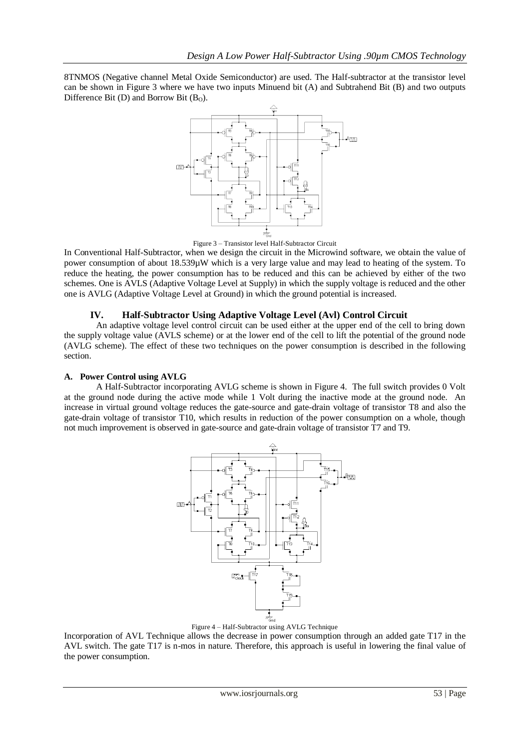8TNMOS (Negative channel Metal Oxide Semiconductor) are used. The Half-subtractor at the transistor level can be shown in Figure 3 where we have two inputs Minuend bit (A) and Subtrahend Bit (B) and two outputs Difference Bit (D) and Borrow Bit  $(B<sub>0</sub>)$ .



Figure 3 – Transistor level Half-Subtractor Circuit

In Conventional Half-Subtractor, when we design the circuit in the Microwind software, we obtain the value of power consumption of about 18.539µW which is a very large value and may lead to heating of the system. To reduce the heating, the power consumption has to be reduced and this can be achieved by either of the two schemes. One is AVLS (Adaptive Voltage Level at Supply) in which the supply voltage is reduced and the other one is AVLG (Adaptive Voltage Level at Ground) in which the ground potential is increased.

# **IV. Half-Subtractor Using Adaptive Voltage Level (Avl) Control Circuit**

An adaptive voltage level control circuit can be used either at the upper end of the cell to bring down the supply voltage value (AVLS scheme) or at the lower end of the cell to lift the potential of the ground node (AVLG scheme). The effect of these two techniques on the power consumption is described in the following section.

# **A. Power Control using AVLG**

A Half-Subtractor incorporating AVLG scheme is shown in Figure 4. The full switch provides 0 Volt at the ground node during the active mode while 1 Volt during the inactive mode at the ground node. An increase in virtual ground voltage reduces the gate-source and gate-drain voltage of transistor T8 and also the gate-drain voltage of transistor T10, which results in reduction of the power consumption on a whole, though not much improvement is observed in gate-source and gate-drain voltage of transistor T7 and T9.



Figure 4 – Half-Subtractor using AVLG Technique

Incorporation of AVL Technique allows the decrease in power consumption through an added gate T17 in the AVL switch. The gate T17 is n-mos in nature. Therefore, this approach is useful in lowering the final value of the power consumption.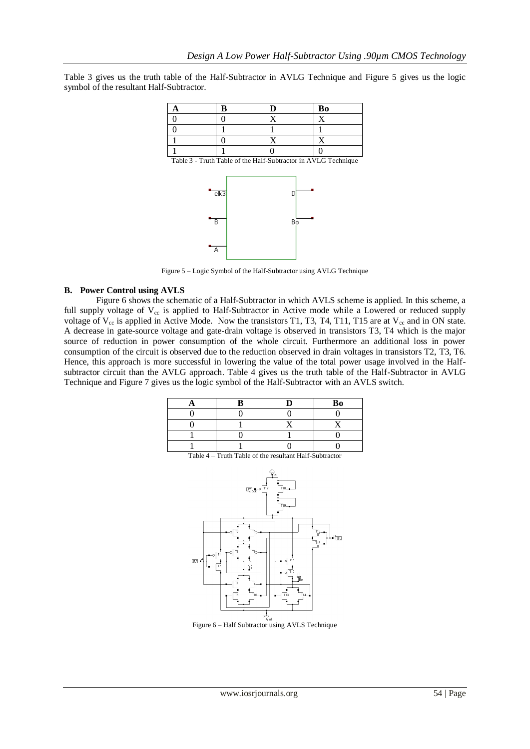Table 3 gives us the truth table of the Half-Subtractor in AVLG Technique and Figure 5 gives us the logic symbol of the resultant Half-Subtractor.



Table 3 - Truth Table of the Half-Subtractor in AVLG Technique



Figure 5 – Logic Symbol of the Half-Subtractor using AVLG Technique

# **B. Power Control using AVLS**

Figure 6 shows the schematic of a Half-Subtractor in which AVLS scheme is applied. In this scheme, a full supply voltage of  $V_{cc}$  is applied to Half-Subtractor in Active mode while a Lowered or reduced supply voltage of  $V_{cc}$  is applied in Active Mode. Now the transistors T1, T3, T4, T11, T15 are at  $V_{cc}$  and in ON state. A decrease in gate-source voltage and gate-drain voltage is observed in transistors T3, T4 which is the major source of reduction in power consumption of the whole circuit. Furthermore an additional loss in power consumption of the circuit is observed due to the reduction observed in drain voltages in transistors T2, T3, T6. Hence, this approach is more successful in lowering the value of the total power usage involved in the Halfsubtractor circuit than the AVLG approach. Table 4 gives us the truth table of the Half-Subtractor in AVLG Technique and Figure 7 gives us the logic symbol of the Half-Subtractor with an AVLS switch.

| D | Bo |
|---|----|
|   |    |
|   |    |
|   |    |
|   |    |

| $\boxed{\mathbb{F}_{\text{clock}}^{-1}} \sim \boxed{\text{Ti}7}$                                    | $\overline{\psi}$ cc<br>-<br>ゴ18<br>コ<br>$\overline{T}$ 19-                                                                                                                                                       |
|-----------------------------------------------------------------------------------------------------|-------------------------------------------------------------------------------------------------------------------------------------------------------------------------------------------------------------------|
| T4<br>T5<br>呝<br>T1<br>$\mathbb{E}$<br>T2<br>Īò<br>頂<br>T<br>$\widetilde{T}^{\dagger 0}_{  }$<br>T8 | T15.<br>$\frac{B_{\text{UL}}}{\sigma}$<br>T16.<br>  <br>$\overline{111}$<br>al∏12<br>ţ.<br>тíз<br>$\begin{array}{c}\n\overline{1} & \overline{14} \\ \overline{11} & \overline{11}\n\end{array}$<br>$\frac{1}{2}$ |

Table 4 – Truth Table of the resultant Half-Subtractor

Figure 6 – Half Subtractor using AVLS Technique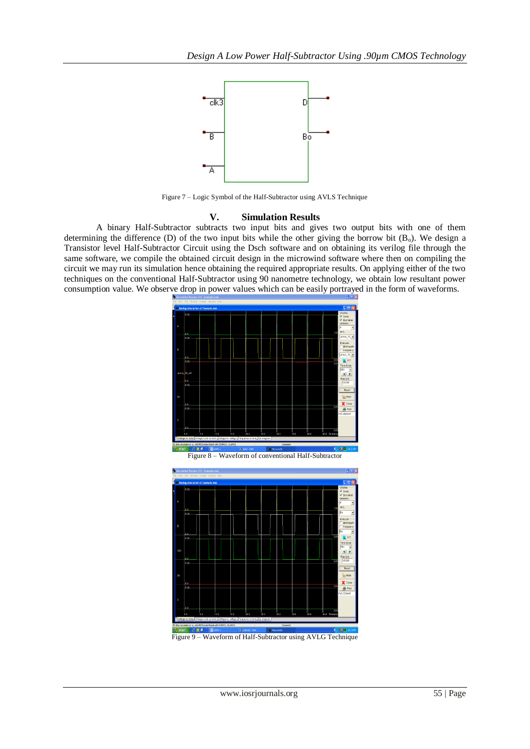

Figure 7 – Logic Symbol of the Half-Subtractor using AVLS Technique

## **V. Simulation Results**

A binary Half-Subtractor subtracts two input bits and gives two output bits with one of them determining the difference (D) of the two input bits while the other giving the borrow bit  $(B_0)$ . We design a Transistor level Half-Subtractor Circuit using the Dsch software and on obtaining its verilog file through the same software, we compile the obtained circuit design in the microwind software where then on compiling the circuit we may run its simulation hence obtaining the required appropriate results. On applying either of the two techniques on the conventional Half-Subtractor using 90 nanometre technology, we obtain low resultant power consumption value. We observe drop in power values which can be easily portrayed in the form of waveforms.



Figure 8 – Waveform of conventional Half-Subtractor



Figure 9 – Waveform of Half-Subtractor using AVLG Technique